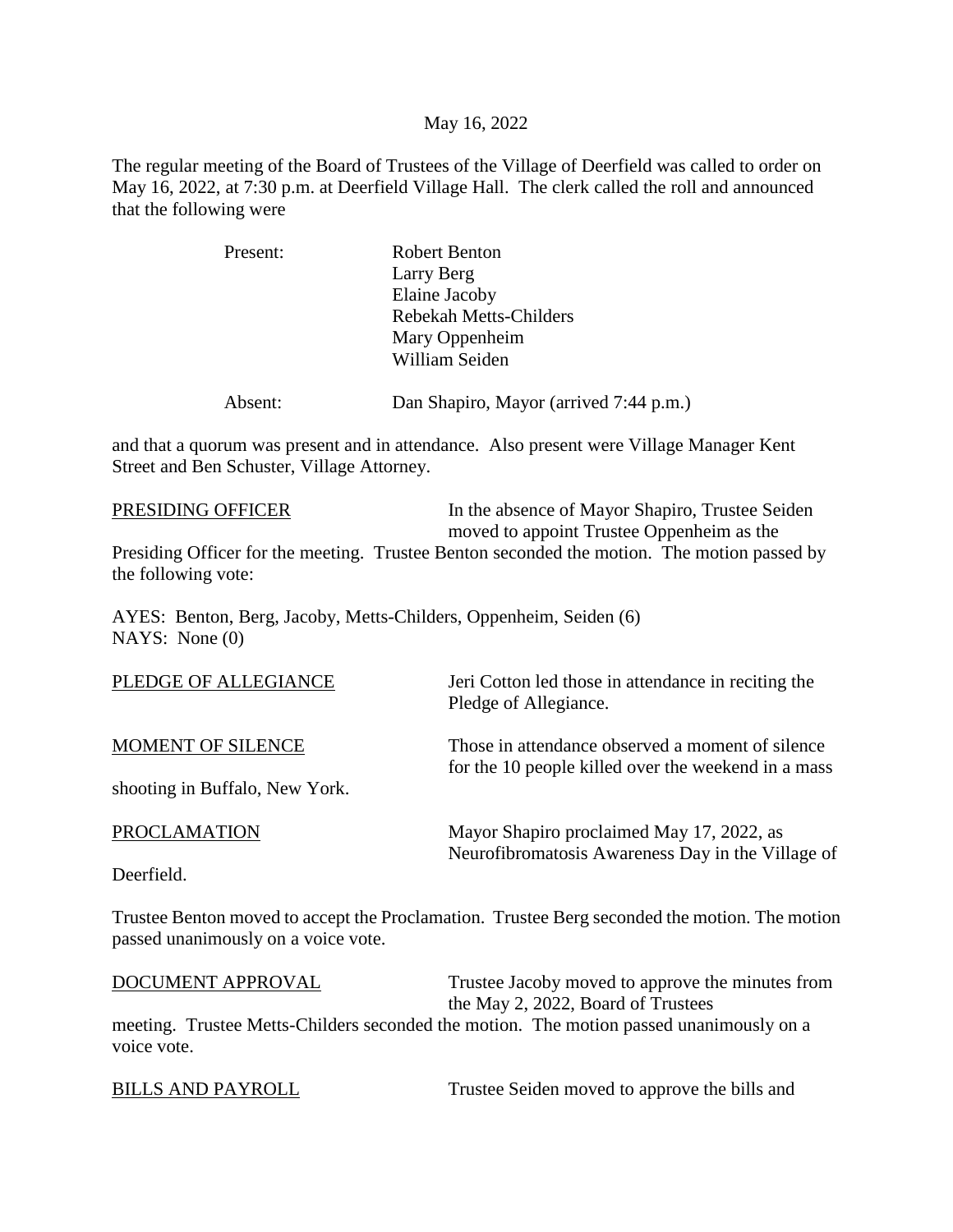### May 16, 2022

The regular meeting of the Board of Trustees of the Village of Deerfield was called to order on May 16, 2022, at 7:30 p.m. at Deerfield Village Hall. The clerk called the roll and announced that the following were

| Present: | <b>Robert Benton</b>          |
|----------|-------------------------------|
|          | Larry Berg                    |
|          | Elaine Jacoby                 |
|          | <b>Rebekah Metts-Childers</b> |
|          | Mary Oppenheim                |
|          | William Seiden                |
|          |                               |
|          |                               |

Absent: Dan Shapiro, Mayor (arrived 7:44 p.m.)

and that a quorum was present and in attendance. Also present were Village Manager Kent Street and Ben Schuster, Village Attorney.

PRESIDING OFFICER In the absence of Mayor Shapiro, Trustee Seiden moved to appoint Trustee Oppenheim as the Presiding Officer for the meeting. Trustee Benton seconded the motion. The motion passed by the following vote:

AYES: Benton, Berg, Jacoby, Metts-Childers, Oppenheim, Seiden (6) NAYS: None (0)

| PLEDGE OF ALLEGIANCE           | Jeri Cotton led those in attendance in reciting the<br>Pledge of Allegiance.                            |
|--------------------------------|---------------------------------------------------------------------------------------------------------|
| MOMENT OF SILENCE              | Those in attendance observed a moment of silence<br>for the 10 people killed over the weekend in a mass |
| shooting in Buffalo, New York. |                                                                                                         |
| <b>PROCLAMATION</b>            | Mayor Shapiro proclaimed May 17, 2022, as                                                               |
| Deerfield.                     | Neurofibromatosis Awareness Day in the Village of                                                       |

Trustee Benton moved to accept the Proclamation. Trustee Berg seconded the motion. The motion passed unanimously on a voice vote.

| DOCUMENT APPROVAL | Trustee Jacoby moved to approve the minutes from                                        |
|-------------------|-----------------------------------------------------------------------------------------|
|                   | the May 2, 2022, Board of Trustees                                                      |
|                   | meeting. Trustee Metts-Childers seconded the motion. The motion passed unanimously on a |
| voice vote.       |                                                                                         |
|                   |                                                                                         |

BILLS AND PAYROLL Trustee Seiden moved to approve the bills and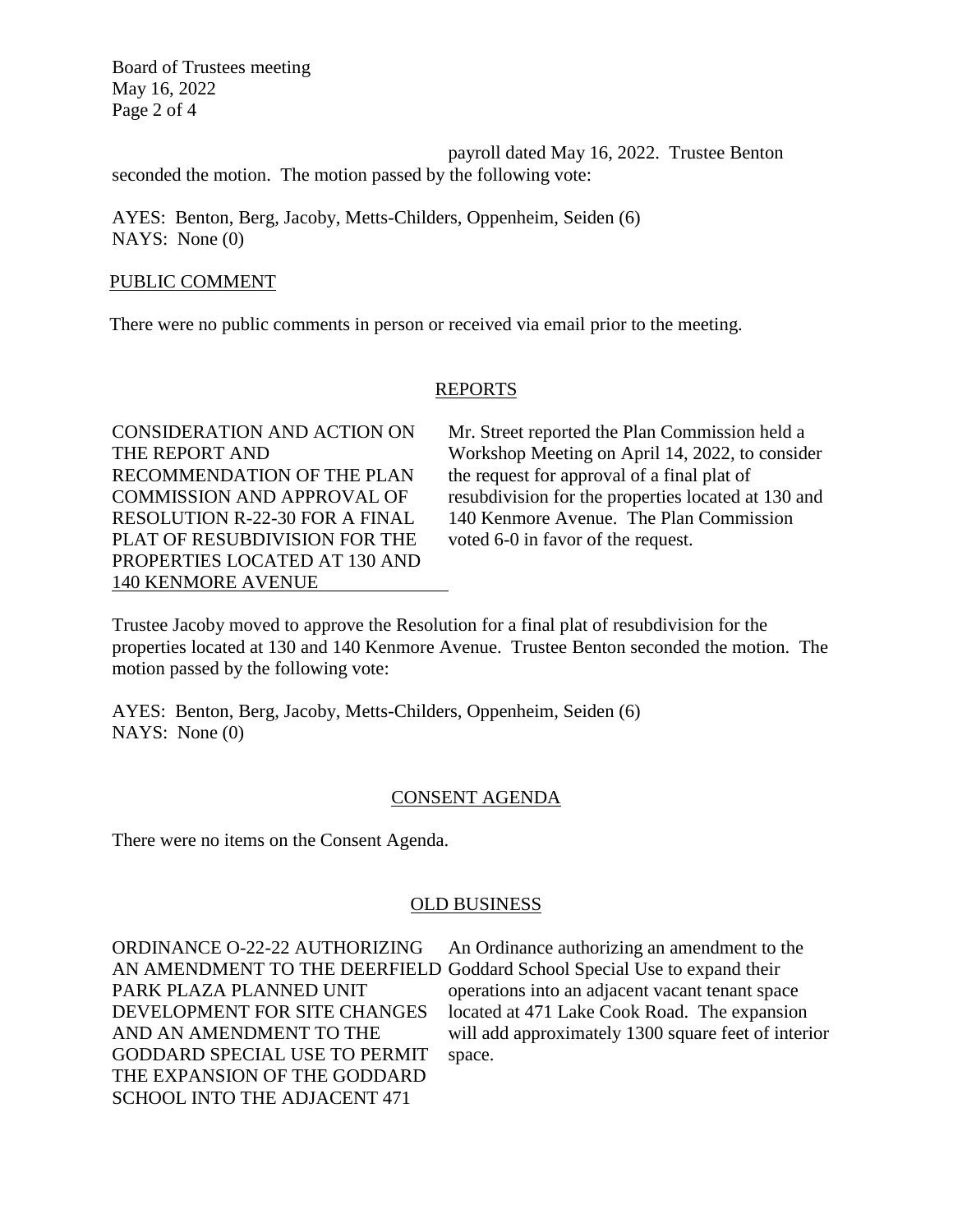Board of Trustees meeting May 16, 2022 Page 2 of 4

payroll dated May 16, 2022. Trustee Benton seconded the motion. The motion passed by the following vote:

AYES: Benton, Berg, Jacoby, Metts-Childers, Oppenheim, Seiden (6) NAYS: None (0)

#### PUBLIC COMMENT

There were no public comments in person or received via email prior to the meeting.

# REPORTS

RECOMMENDATION OF THE PLAN the request for approval of a final plat of PLAT OF RESUBDIVISION FOR THE voted 6-0 in favor of the request. PROPERTIES LOCATED AT 130 AND 140 KENMORE AVENUE

CONSIDERATION AND ACTION ON Mr. Street reported the Plan Commission held a THE REPORT AND Workshop Meeting on April 14, 2022, to consider COMMISSION AND APPROVAL OF resubdivision for the properties located at 130 and RESOLUTION R-22-30 FOR A FINAL 140 Kenmore Avenue. The Plan Commission

Trustee Jacoby moved to approve the Resolution for a final plat of resubdivision for the properties located at 130 and 140 Kenmore Avenue. Trustee Benton seconded the motion. The motion passed by the following vote:

AYES: Benton, Berg, Jacoby, Metts-Childers, Oppenheim, Seiden (6) NAYS: None (0)

# CONSENT AGENDA

There were no items on the Consent Agenda.

# OLD BUSINESS

GODDARD SPECIAL USE TO PERMIT space. THE EXPANSION OF THE GODDARD SCHOOL INTO THE ADJACENT 471

ORDINANCE O-22-22 AUTHORIZING An Ordinance authorizing an amendment to the AN AMENDMENT TO THE DEERFIELD Goddard School Special Use to expand their PARK PLAZA PLANNED UNIT operations into an adjacent vacant tenant space DEVELOPMENT FOR SITE CHANGES located at 471 Lake Cook Road. The expansion AND AN AMENDMENT TO THE will add approximately 1300 square feet of interior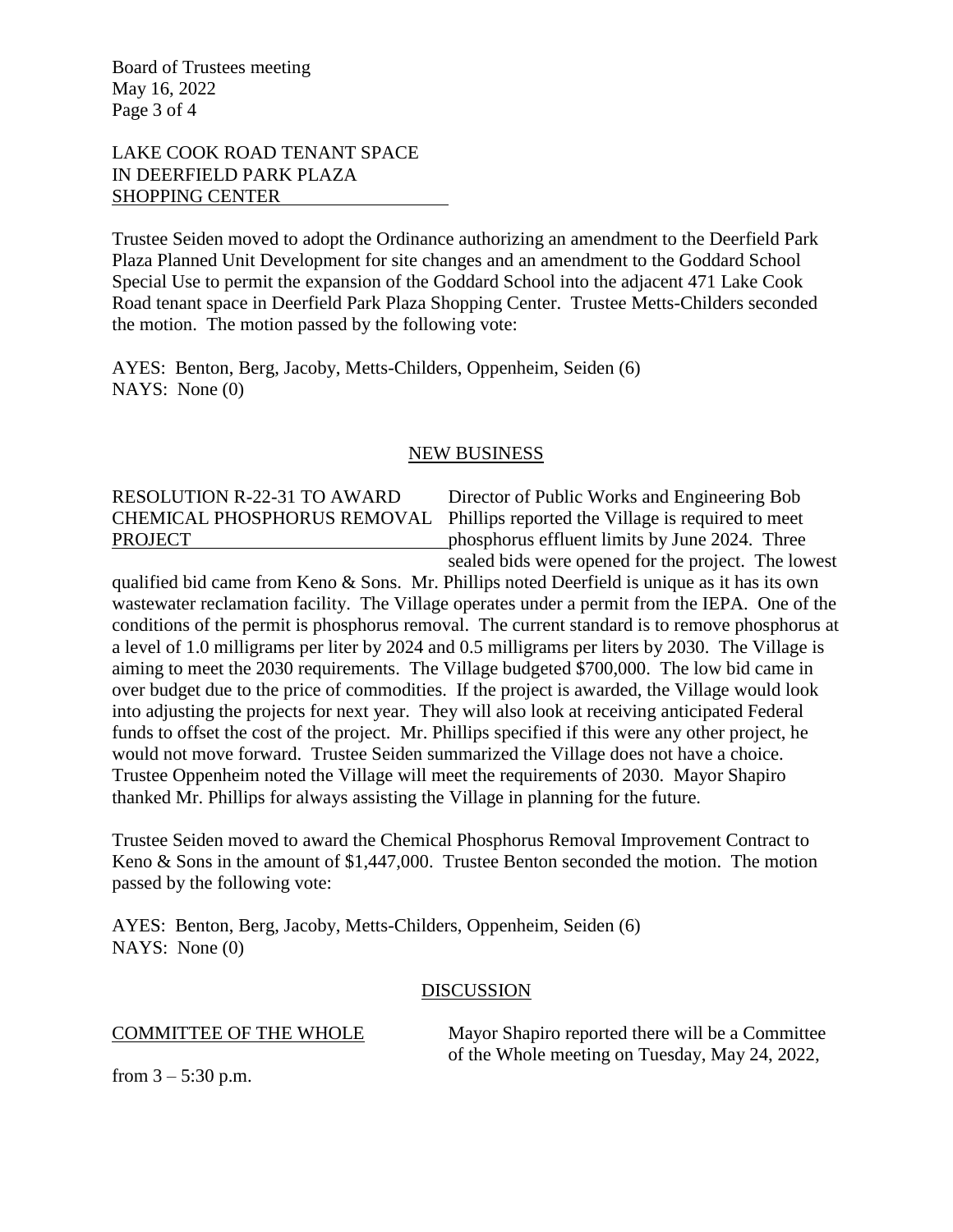Board of Trustees meeting May 16, 2022 Page 3 of 4

# LAKE COOK ROAD TENANT SPACE IN DEERFIELD PARK PLAZA SHOPPING CENTER

Trustee Seiden moved to adopt the Ordinance authorizing an amendment to the Deerfield Park Plaza Planned Unit Development for site changes and an amendment to the Goddard School Special Use to permit the expansion of the Goddard School into the adjacent 471 Lake Cook Road tenant space in Deerfield Park Plaza Shopping Center. Trustee Metts-Childers seconded the motion. The motion passed by the following vote:

AYES: Benton, Berg, Jacoby, Metts-Childers, Oppenheim, Seiden (6) NAYS: None (0)

#### NEW BUSINESS

# RESOLUTION R-22-31 TO AWARD Director of Public Works and Engineering Bob

CHEMICAL PHOSPHORUS REMOVAL Phillips reported the Village is required to meet PROJECT phosphorus effluent limits by June 2024. Three sealed bids were opened for the project. The lowest

qualified bid came from Keno & Sons. Mr. Phillips noted Deerfield is unique as it has its own wastewater reclamation facility. The Village operates under a permit from the IEPA. One of the conditions of the permit is phosphorus removal. The current standard is to remove phosphorus at a level of 1.0 milligrams per liter by 2024 and 0.5 milligrams per liters by 2030. The Village is aiming to meet the 2030 requirements. The Village budgeted \$700,000. The low bid came in over budget due to the price of commodities. If the project is awarded, the Village would look into adjusting the projects for next year. They will also look at receiving anticipated Federal funds to offset the cost of the project. Mr. Phillips specified if this were any other project, he would not move forward. Trustee Seiden summarized the Village does not have a choice. Trustee Oppenheim noted the Village will meet the requirements of 2030. Mayor Shapiro thanked Mr. Phillips for always assisting the Village in planning for the future.

Trustee Seiden moved to award the Chemical Phosphorus Removal Improvement Contract to Keno & Sons in the amount of \$1,447,000. Trustee Benton seconded the motion. The motion passed by the following vote:

AYES: Benton, Berg, Jacoby, Metts-Childers, Oppenheim, Seiden (6) NAYS: None (0)

#### DISCUSSION

COMMITTEE OF THE WHOLE Mayor Shapiro reported there will be a Committee of the Whole meeting on Tuesday, May 24, 2022,

from  $3 - 5:30$  p.m.